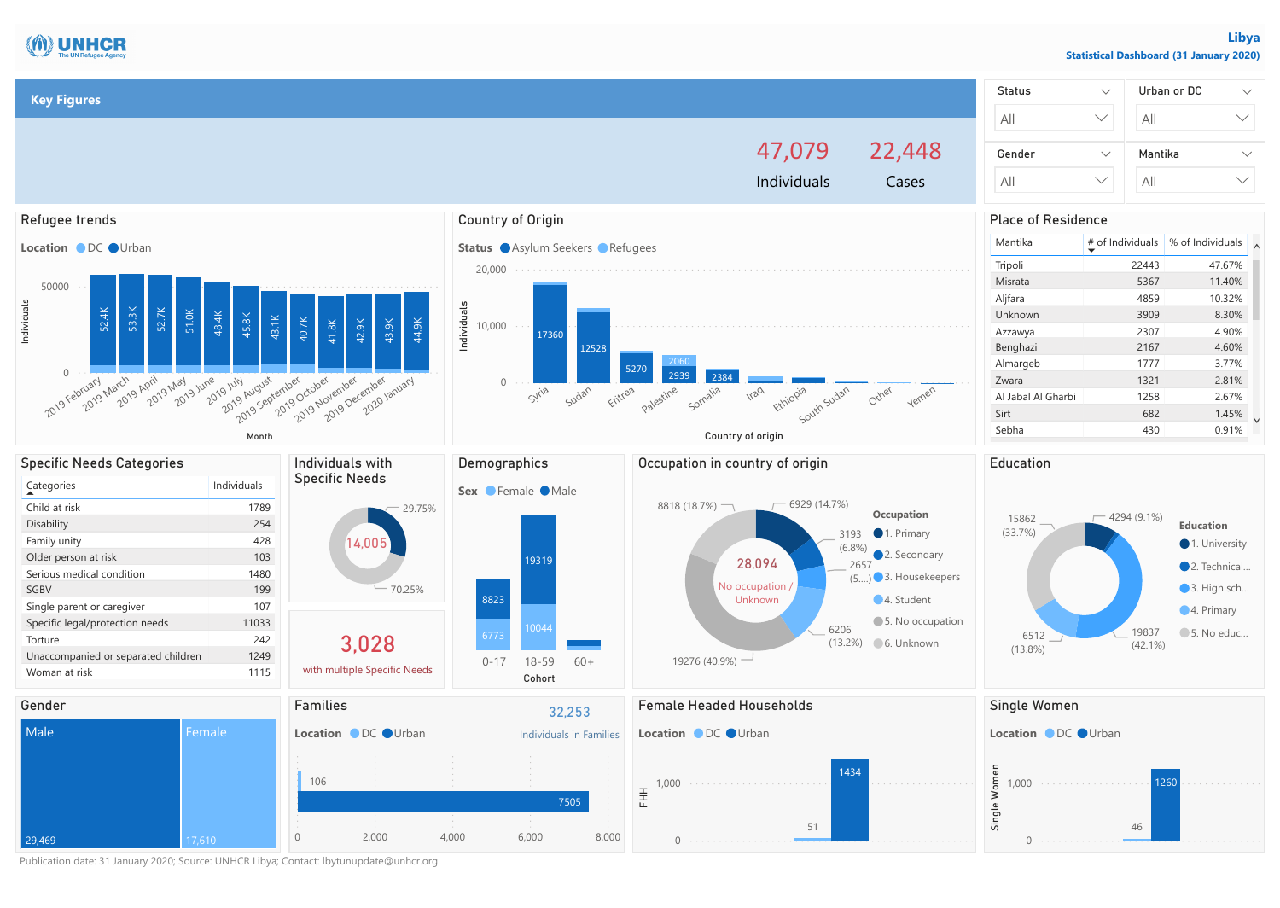

Publication date: 31 January 2020; Source: UNHCR Libya; Contact: lbytunupdate@unhcr.org